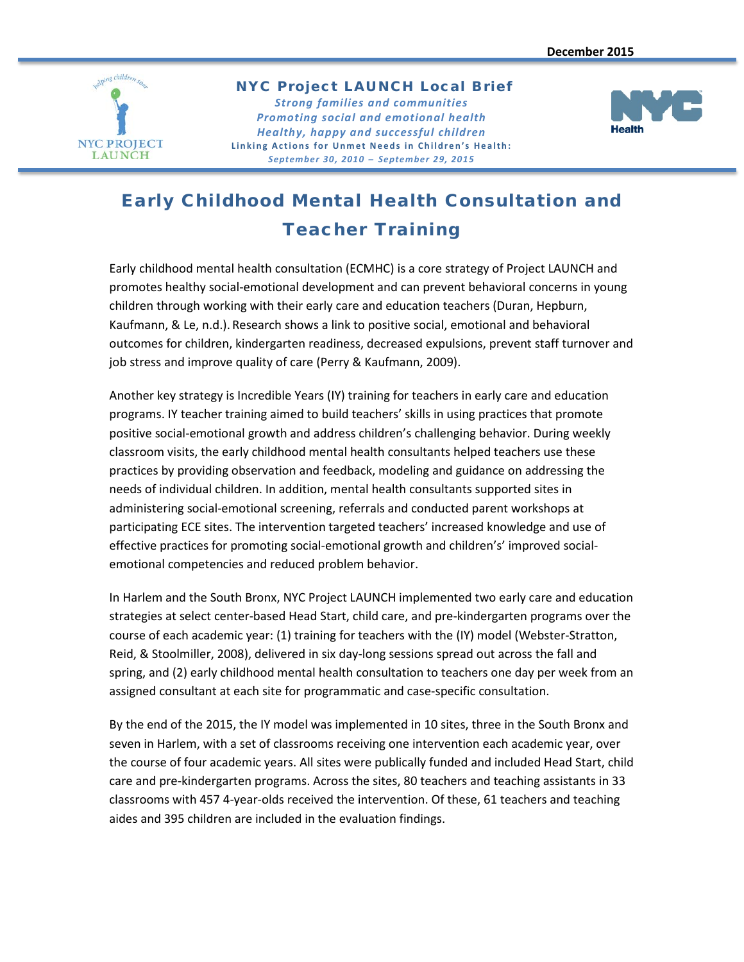

NYC Project LAUNCH Local Brief *Strong families and communities*

*Promoting social and emotional health Healthy, happy and successful children* **Linking Actions for Unmet Needs in Children's Health:** *September 30, 2010 ̶ September 29, 2015*



# Early Childhood Mental Health Consultation and Teacher Training

Early childhood mental health consultation (ECMHC) is a core strategy of Project LAUNCH and promotes healthy social-emotional development and can prevent behavioral concerns in young children through working with their early care and education teachers (Duran, Hepburn, Kaufmann, & Le, n.d.). Research shows a link to positive social, emotional and behavioral outcomes for children, kindergarten readiness, decreased expulsions, prevent staff turnover and job stress and improve quality of care (Perry & Kaufmann, 2009).

Another key strategy is Incredible Years (IY) training for teachers in early care and education programs. IY teacher training aimed to build teachers' skills in using practices that promote positive social-emotional growth and address children's challenging behavior. During weekly classroom visits, the early childhood mental health consultants helped teachers use these practices by providing observation and feedback, modeling and guidance on addressing the needs of individual children. In addition, mental health consultants supported sites in administering social-emotional screening, referrals and conducted parent workshops at participating ECE sites. The intervention targeted teachers' increased knowledge and use of effective practices for promoting social-emotional growth and children's' improved socialemotional competencies and reduced problem behavior.

In Harlem and the South Bronx, NYC Project LAUNCH implemented two early care and education strategies at select center-based Head Start, child care, and pre-kindergarten programs over the course of each academic year: (1) training for teachers with the (IY) model (Webster-Stratton, Reid, & Stoolmiller, 2008), delivered in six day-long sessions spread out across the fall and spring, and (2) early childhood mental health consultation to teachers one day per week from an assigned consultant at each site for programmatic and case-specific consultation.

By the end of the 2015, the IY model was implemented in 10 sites, three in the South Bronx and seven in Harlem, with a set of classrooms receiving one intervention each academic year, over the course of four academic years. All sites were publically funded and included Head Start, child care and pre-kindergarten programs. Across the sites, 80 teachers and teaching assistants in 33 classrooms with 457 4-year-olds received the intervention. Of these, 61 teachers and teaching aides and 395 children are included in the evaluation findings.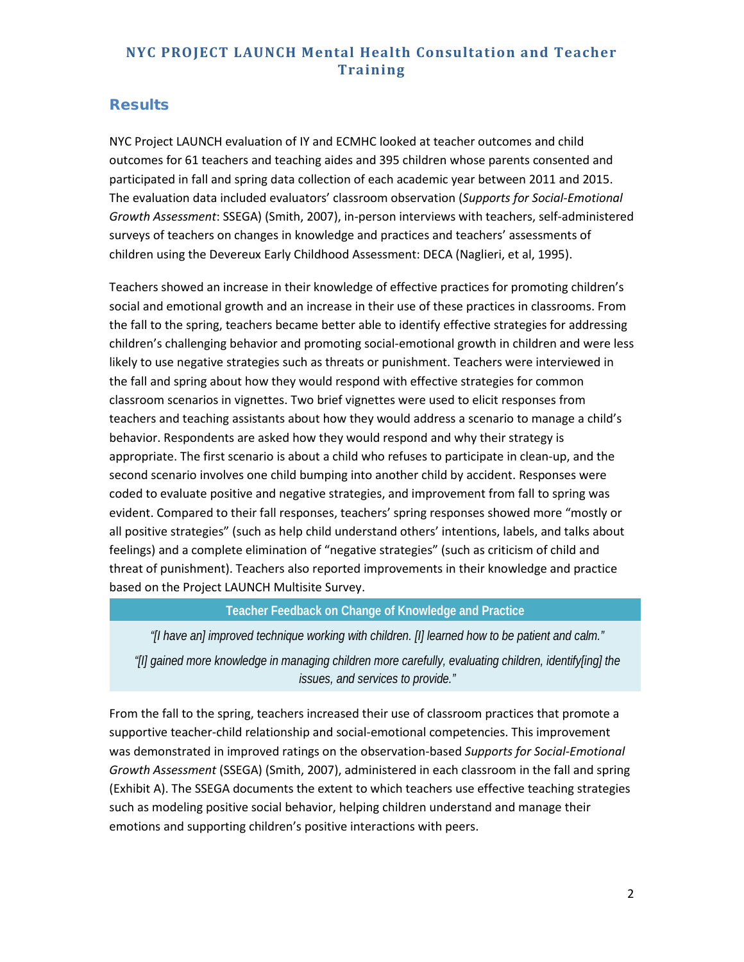## **Results**

NYC Project LAUNCH evaluation of IY and ECMHC looked at teacher outcomes and child outcomes for 61 teachers and teaching aides and 395 children whose parents consented and participated in fall and spring data collection of each academic year between 2011 and 2015. The evaluation data included evaluators' classroom observation (*Supports for Social-Emotional Growth Assessment*: SSEGA) (Smith, 2007), in-person interviews with teachers, self-administered surveys of teachers on changes in knowledge and practices and teachers' assessments of children using the Devereux Early Childhood Assessment: DECA (Naglieri, et al, 1995).

Teachers showed an increase in their knowledge of effective practices for promoting children's social and emotional growth and an increase in their use of these practices in classrooms. From the fall to the spring, teachers became better able to identify effective strategies for addressing children's challenging behavior and promoting social-emotional growth in children and were less likely to use negative strategies such as threats or punishment. Teachers were interviewed in the fall and spring about how they would respond with effective strategies for common classroom scenarios in vignettes. Two brief vignettes were used to elicit responses from teachers and teaching assistants about how they would address a scenario to manage a child's behavior. Respondents are asked how they would respond and why their strategy is appropriate. The first scenario is about a child who refuses to participate in clean-up, and the second scenario involves one child bumping into another child by accident. Responses were coded to evaluate positive and negative strategies, and improvement from fall to spring was evident. Compared to their fall responses, teachers' spring responses showed more "mostly or all positive strategies" (such as help child understand others' intentions, labels, and talks about feelings) and a complete elimination of "negative strategies" (such as criticism of child and threat of punishment). Teachers also reported improvements in their knowledge and practice based on the Project LAUNCH Multisite Survey.

### **Teacher Feedback on Change of Knowledge and Practice**

*"[I have an] improved technique working with children. [I] learned how to be patient and calm." "[I] gained more knowledge in managing children more carefully, evaluating children, identify[ing] the issues, and services to provide."*

From the fall to the spring, teachers increased their use of classroom practices that promote a supportive teacher-child relationship and social-emotional competencies. This improvement was demonstrated in improved ratings on the observation-based *Supports for Social-Emotional Growth Assessment* (SSEGA) (Smith, 2007), administered in each classroom in the fall and spring (Exhibit A). The SSEGA documents the extent to which teachers use effective teaching strategies such as modeling positive social behavior, helping children understand and manage their emotions and supporting children's positive interactions with peers.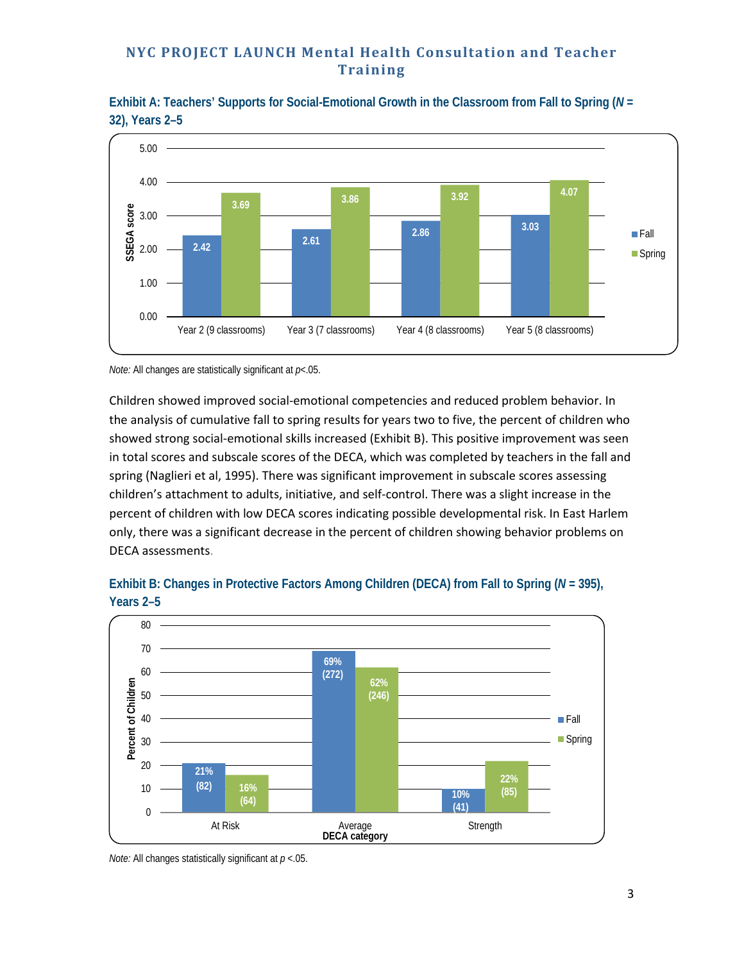**Exhibit A: Teachers' Supports for Social-Emotional Growth in the Classroom from Fall to Spring (***N* **= 32), Years 2–5**



*Note:* All changes are statistically significant at *p*<.05.

Children showed improved social-emotional competencies and reduced problem behavior. In the analysis of cumulative fall to spring results for years two to five, the percent of children who showed strong social-emotional skills increased (Exhibit B). This positive improvement was seen in total scores and subscale scores of the DECA, which was completed by teachers in the fall and spring (Naglieri et al, 1995). There was significant improvement in subscale scores assessing children's attachment to adults, initiative, and self-control. There was a slight increase in the percent of children with low DECA scores indicating possible developmental risk. In East Harlem only, there was a significant decrease in the percent of children showing behavior problems on DECA assessments.



### **Exhibit B: Changes in Protective Factors Among Children (DECA) from Fall to Spring (***N* **= 395), Years 2–5**

*Note:* All changes statistically significant at *p* <.05.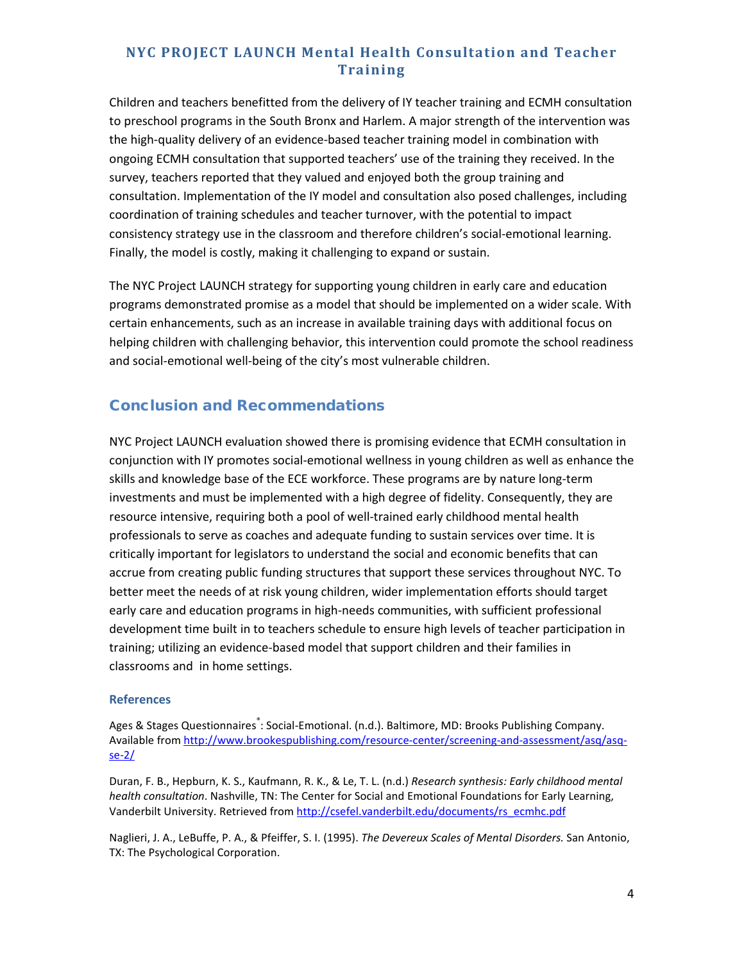Children and teachers benefitted from the delivery of IY teacher training and ECMH consultation to preschool programs in the South Bronx and Harlem. A major strength of the intervention was the high-quality delivery of an evidence-based teacher training model in combination with ongoing ECMH consultation that supported teachers' use of the training they received. In the survey, teachers reported that they valued and enjoyed both the group training and consultation. Implementation of the IY model and consultation also posed challenges, including coordination of training schedules and teacher turnover, with the potential to impact consistency strategy use in the classroom and therefore children's social-emotional learning. Finally, the model is costly, making it challenging to expand or sustain.

The NYC Project LAUNCH strategy for supporting young children in early care and education programs demonstrated promise as a model that should be implemented on a wider scale. With certain enhancements, such as an increase in available training days with additional focus on helping children with challenging behavior, this intervention could promote the school readiness and social-emotional well-being of the city's most vulnerable children.

## Conclusion and Recommendations

NYC Project LAUNCH evaluation showed there is promising evidence that ECMH consultation in conjunction with IY promotes social-emotional wellness in young children as well as enhance the skills and knowledge base of the ECE workforce. These programs are by nature long-term investments and must be implemented with a high degree of fidelity. Consequently, they are resource intensive, requiring both a pool of well-trained early childhood mental health professionals to serve as coaches and adequate funding to sustain services over time. It is critically important for legislators to understand the social and economic benefits that can accrue from creating public funding structures that support these services throughout NYC. To better meet the needs of at risk young children, wider implementation efforts should target early care and education programs in high-needs communities, with sufficient professional development time built in to teachers schedule to ensure high levels of teacher participation in training; utilizing an evidence-based model that support children and their families in classrooms and in home settings.

#### **References**

Ages & Stages Questionnaires lc Social-Emotional. (n.d.). Baltimore, MD: Brooks Publishing Company. Available from [http://www.brookespublishing.com/resource-center/screening-and-assessment/asq/asq](http://www.brookespublishing.com/resource-center/screening-and-assessment/asq/asq-se-2/)[se-2/](http://www.brookespublishing.com/resource-center/screening-and-assessment/asq/asq-se-2/)

Duran, F. B., Hepburn, K. S., Kaufmann, R. K., & Le, T. L. (n.d.) *Research synthesis: Early childhood mental health consultation*. Nashville, TN: The Center for Social and Emotional Foundations for Early Learning, Vanderbilt University. Retrieved from [http://csefel.vanderbilt.edu/documents/rs\\_ecmhc.pdf](http://csefel.vanderbilt.edu/documents/rs_ecmhc.pdf)

Naglieri, J. A., LeBuffe, P. A., & Pfeiffer, S. I. (1995). *The Devereux Scales of Mental Disorders.* San Antonio, TX: The Psychological Corporation.